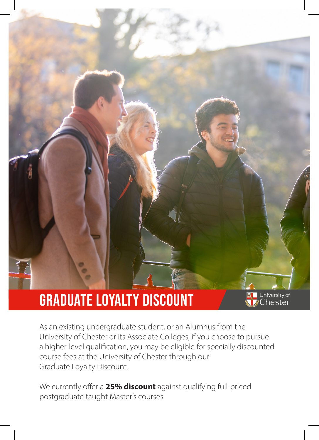

## **GRADUATE LOYALTY DISCOUNT**

As an existing undergraduate student, or an Alumnus from the University of Chester or its Associate Colleges, if you choose to pursue a higher-level qualification, you may be eligible for specially discounted course fees at the University of Chester through our Graduate Loyalty Discount.

We currently offer a **25% discount** against qualifying full-priced postgraduate taught Master's courses.